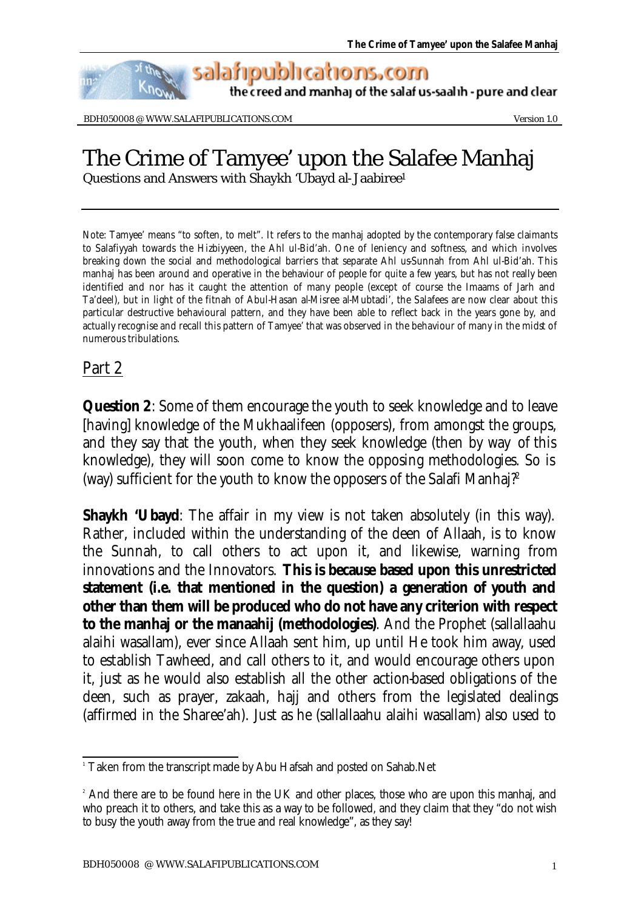salafipublications.com

the creed and manhaj of the salaf us-saalih - pure and clear

BDH050008 @ WWW.SALAFIPUBLICATIONS.COM WEEDSTAND Version 1.0

## The Crime of Tamyee' upon the Salafee Manhaj

Questions and Answers with Shaykh 'Ubayd al-Jaabiree<sup>1</sup>

Note: Tamyee' means "to soften, to melt". It refers to the manhaj adopted by the contemporary false claimants to Salafiyyah towards the Hizbiyyeen, the Ahl ul-Bid'ah. One of leniency and softness, and which involves breaking down the social and methodological barriers that separate Ahl us-Sunnah from Ahl ul-Bid'ah. This manhaj has been around and operative in the behaviour of people for quite a few years, but has not really been identified and nor has it caught the attention of many people (except of course the Imaams of Jarh and Ta'deel), but in light of the fitnah of Abul-Hasan al-Misree al-Mubtadi', the Salafees are now clear about this particular destructive behavioural pattern, and they have been able to reflect back in the years gone by, and actually recognise and recall this pattern of Tamyee' that was observed in the behaviour of many in the midst of numerous tribulations.

## Part 2

**Question 2**: Some of them encourage the youth to seek knowledge and to leave [having] knowledge of the Mukhaalifeen (opposers), from amongst the groups, and they say that the youth, when they seek knowledge (then by way of this knowledge), they will soon come to know the opposing methodologies. So is (way) sufficient for the youth to know the opposers of the Salafi Manhaj?<sup>2</sup>

**Shaykh 'Ubayd**: The affair in my view is not taken absolutely (in this way). Rather, included within the understanding of the deen of Allaah, is to know the Sunnah, to call others to act upon it, and likewise, warning from innovations and the Innovators. **This is because based upon this unrestricted statement (i.e. that mentioned in the question) a generation of youth and other than them will be produced who do not have any criterion with respect to the manhaj or the manaahij (methodologies)**. And the Prophet (sallallaahu alaihi wasallam), ever since Allaah sent him, up until He took him away, used to establish Tawheed, and call others to it, and would encourage others upon it, just as he would also establish all the other action-based obligations of the deen, such as prayer, zakaah, hajj and others from the legislated dealings (affirmed in the Sharee'ah). Just as he (sallallaahu alaihi wasallam) also used to

 1 Taken from the transcript made by Abu Hafsah and posted on Sahab.Net

<sup>&</sup>lt;sup>2</sup> And there are to be found here in the UK and other places, those who are upon this manhaj, and who preach it to others, and take this as a way to be followed, and they claim that they "do not wish to busy the youth away from the true and real knowledge", as they say!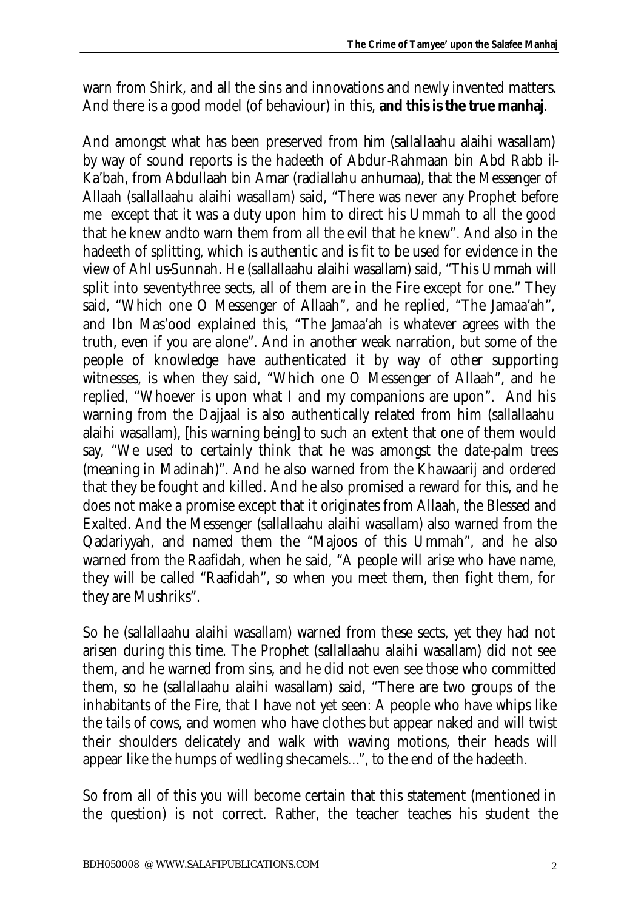warn from Shirk, and all the sins and innovations and newly invented matters. And there is a good model (of behaviour) in this, **and this is the true manhaj**.

And amongst what has been preserved from him (sallallaahu alaihi wasallam) by way of sound reports is the hadeeth of Abdur-Rahmaan bin Abd Rabb il-Ka'bah, from Abdullaah bin Amar (radiallahu anhumaa), that the Messenger of Allaah (sallallaahu alaihi wasallam) said, "There was never any Prophet before me except that it was a duty upon him to direct his Ummah to all the good that he knew andto warn them from all the evil that he knew". And also in the hadeeth of splitting, which is authentic and is fit to be used for evidence in the view of Ahl us-Sunnah. He (sallallaahu alaihi wasallam) said, "This Ummah will split into seventy-three sects, all of them are in the Fire except for one." They said, "Which one O Messenger of Allaah", and he replied, "The Jamaa'ah", and Ibn Mas'ood explained this, "The Jamaa'ah is whatever agrees with the truth, even if you are alone". And in another weak narration, but some of the people of knowledge have authenticated it by way of other supporting witnesses, is when they said, "Which one O Messenger of Allaah", and he replied, "Whoever is upon what I and my companions are upon". And his warning from the Dajjaal is also authentically related from him (sallallaahu alaihi wasallam), [his warning being] to such an extent that one of them would say, "We used to certainly think that he was amongst the date-palm trees (meaning in Madinah)". And he also warned from the Khawaarij and ordered that they be fought and killed. And he also promised a reward for this, and he does not make a promise except that it originates from Allaah, the Blessed and Exalted. And the Messenger (sallallaahu alaihi wasallam) also warned from the Qadariyyah, and named them the "Majoos of this Ummah", and he also warned from the Raafidah, when he said, "A people will arise who have name, they will be called "Raafidah", so when you meet them, then fight them, for they are Mushriks".

So he (sallallaahu alaihi wasallam) warned from these sects, yet they had not arisen during this time. The Prophet (sallallaahu alaihi wasallam) did not see them, and he warned from sins, and he did not even see those who committed them, so he (sallallaahu alaihi wasallam) said, "There are two groups of the inhabitants of the Fire, that I have not yet seen: A people who have whips like the tails of cows, and women who have clothes but appear naked and will twist their shoulders delicately and walk with waving motions, their heads will appear like the humps of wedling she-camels…", to the end of the hadeeth.

So from all of this you will become certain that this statement (mentioned in the question) is not correct. Rather, the teacher teaches his student the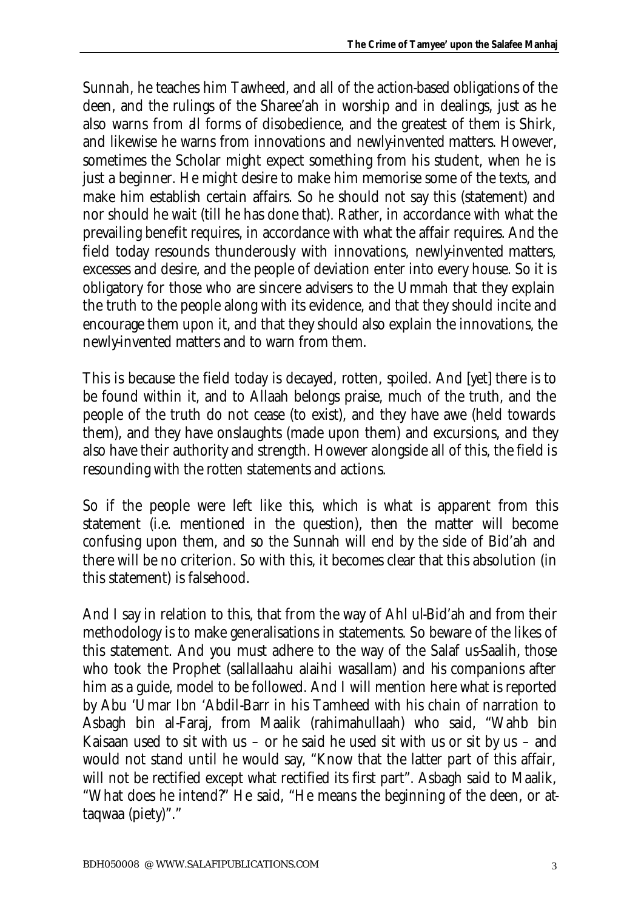Sunnah, he teaches him Tawheed, and all of the action-based obligations of the deen, and the rulings of the Sharee'ah in worship and in dealings, just as he also warns from all forms of disobedience, and the greatest of them is Shirk, and likewise he warns from innovations and newly-invented matters. However, sometimes the Scholar might expect something from his student, when he is just a beginner. He might desire to make him memorise some of the texts, and make him establish certain affairs. So he should not say this (statement) and nor should he wait (till he has done that). Rather, in accordance with what the prevailing benefit requires, in accordance with what the affair requires. And the field today resounds thunderously with innovations, newly-invented matters, excesses and desire, and the people of deviation enter into every house. So it is obligatory for those who are sincere advisers to the Ummah that they explain the truth to the people along with its evidence, and that they should incite and encourage them upon it, and that they should also explain the innovations, the newly-invented matters and to warn from them.

This is because the field today is decayed, rotten, spoiled. And [yet] there is to be found within it, and to Allaah belongs praise, much of the truth, and the people of the truth do not cease (to exist), and they have awe (held towards them), and they have onslaughts (made upon them) and excursions, and they also have their authority and strength. However alongside all of this, the field is resounding with the rotten statements and actions.

So if the people were left like this, which is what is apparent from this statement (i.e. mentioned in the question), then the matter will become confusing upon them, and so the Sunnah will end by the side of Bid'ah and there will be no criterion. So with this, it becomes clear that this absolution (in this statement) is falsehood.

And I say in relation to this, that from the way of Ahl ul-Bid'ah and from their methodology is to make generalisations in statements. So beware of the likes of this statement. And you must adhere to the way of the Salaf us-Saalih, those who took the Prophet (sallallaahu alaihi wasallam) and his companions after him as a guide, model to be followed. And I will mention here what is reported by Abu 'Umar Ibn 'Abdil-Barr in his Tamheed with his chain of narration to Asbagh bin al-Faraj, from Maalik (rahimahullaah) who said, "Wahb bin Kaisaan used to sit with us – or he said he used sit with us or sit by us – and would not stand until he would say, "Know that the latter part of this affair, will not be rectified except what rectified its first part". Asbagh said to Maalik, "What does he intend?" He said, "He means the beginning of the deen, or attaqwaa (piety)"."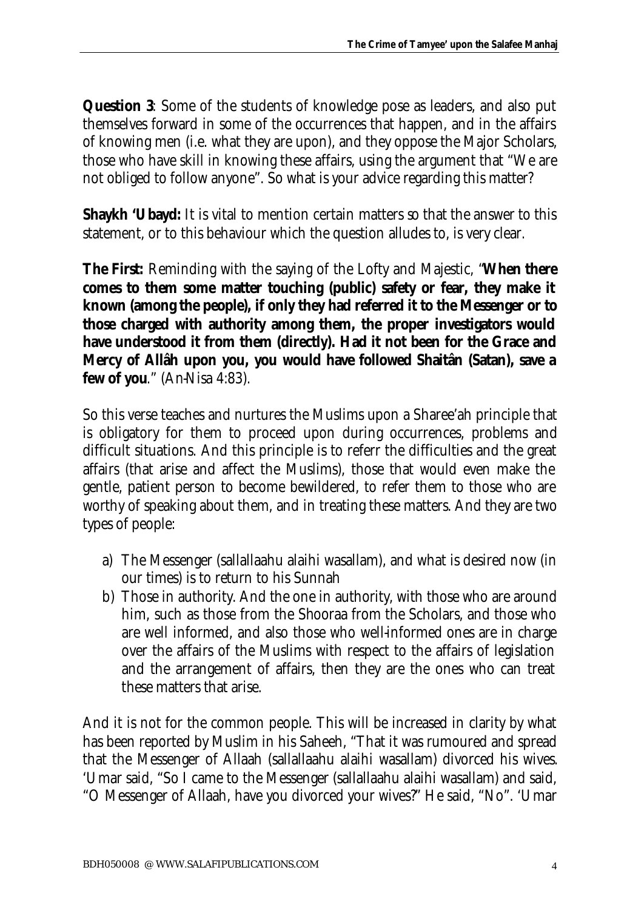**Question 3**: Some of the students of knowledge pose as leaders, and also put themselves forward in some of the occurrences that happen, and in the affairs of knowing men (i.e. what they are upon), and they oppose the Major Scholars, those who have skill in knowing these affairs, using the argument that "We are not obliged to follow anyone". So what is your advice regarding this matter?

**Shaykh 'Ubayd:** It is vital to mention certain matters so that the answer to this statement, or to this behaviour which the question alludes to, is very clear.

**The First:** Reminding with the saying of the Lofty and Majestic, "**When there comes to them some matter touching (public) safety or fear, they make it known (among the people), if only they had referred it to the Messenger or to those charged with authority among them, the proper investigators would have understood it from them (directly). Had it not been for the Grace and Mercy of Allâh upon you, you would have followed Shaitân (Satan), save a few of you**." (An-Nisa 4:83).

So this verse teaches and nurtures the Muslims upon a Sharee'ah principle that is obligatory for them to proceed upon during occurrences, problems and difficult situations. And this principle is to referr the difficulties and the great affairs (that arise and affect the Muslims), those that would even make the gentle, patient person to become bewildered, to refer them to those who are worthy of speaking about them, and in treating these matters. And they are two types of people:

- a) The Messenger (sallallaahu alaihi wasallam), and what is desired now (in our times) is to return to his Sunnah
- b) Those in authority. And the one in authority, with those who are around him, such as those from the Shooraa from the Scholars, and those who are well informed, and also those who well-informed ones are in charge over the affairs of the Muslims with respect to the affairs of legislation and the arrangement of affairs, then they are the ones who can treat these matters that arise.

And it is not for the common people. This will be increased in clarity by what has been reported by Muslim in his Saheeh, "That it was rumoured and spread that the Messenger of Allaah (sallallaahu alaihi wasallam) divorced his wives. 'Umar said, "So I came to the Messenger (sallallaahu alaihi wasallam) and said, "O Messenger of Allaah, have you divorced your wives?" He said, "No". 'Umar